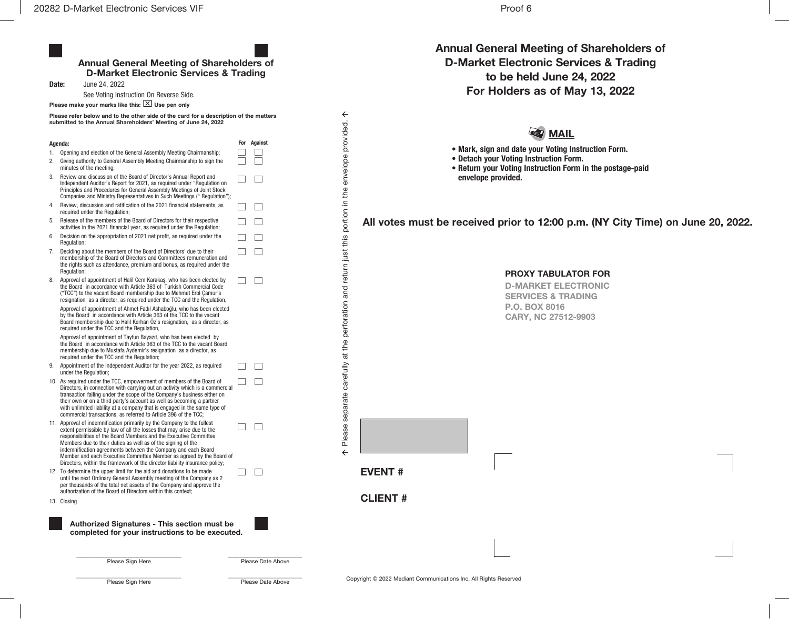|    | Date:<br>June 24, 2022                                                                                                                                                                                                                                                                                                                                                                                                                                                                                        |     |                |
|----|---------------------------------------------------------------------------------------------------------------------------------------------------------------------------------------------------------------------------------------------------------------------------------------------------------------------------------------------------------------------------------------------------------------------------------------------------------------------------------------------------------------|-----|----------------|
|    | See Voting Instruction On Reverse Side.                                                                                                                                                                                                                                                                                                                                                                                                                                                                       |     |                |
|    | Please make your marks like this: $\boxed{\times}$ Use pen only<br>Please refer below and to the other side of the card for a description of the matters<br>submitted to the Annual Shareholders' Meeting of June 24, 2022                                                                                                                                                                                                                                                                                    |     |                |
|    | <u> Agenda:</u>                                                                                                                                                                                                                                                                                                                                                                                                                                                                                               | For | <b>Against</b> |
|    | Opening and election of the General Assembly Meeting Chairmanship;                                                                                                                                                                                                                                                                                                                                                                                                                                            |     |                |
|    | Giving authority to General Assembly Meeting Chairmanship to sign the<br>minutes of the meeting;                                                                                                                                                                                                                                                                                                                                                                                                              |     |                |
|    | Review and discussion of the Board of Director's Annual Report and<br>Independent Auditor's Report for 2021, as required under "Regulation on<br>Principles and Procedures for General Assembly Meetings of Joint Stock<br>Companies and Ministry Representatives in Such Meetings (" Regulation");                                                                                                                                                                                                           |     |                |
|    | Review, discussion and ratification of the 2021 financial statements, as<br>required under the Regulation;                                                                                                                                                                                                                                                                                                                                                                                                    |     |                |
|    | Release of the members of the Board of Directors for their respective<br>activities in the 2021 financial year, as required under the Regulation;                                                                                                                                                                                                                                                                                                                                                             |     |                |
|    | Decision on the appropriation of 2021 net profit, as required under the<br>Regulation;                                                                                                                                                                                                                                                                                                                                                                                                                        |     |                |
|    | Deciding about the members of the Board of Directors' due to their<br>membership of the Board of Directors and Committees remuneration and<br>the rights such as attendance, premium and bonus, as required under the<br>Regulation;                                                                                                                                                                                                                                                                          |     |                |
| 8. | Approval of appointment of Halil Cem Karakaş, who has been elected by<br>the Board in accordance with Article 363 of Turkish Commercial Code<br>("TCC") to the vacant Board membership due to Mehmet Erol Çamur's<br>resignation as a director, as required under the TCC and the Regulation,                                                                                                                                                                                                                 |     |                |
|    | Approval of appointment of Ahmet Fadıl Ashaboğlu, who has been elected<br>by the Board in accordance with Article 363 of the TCC to the vacant<br>Board membership due to Halil Korhan Öz's resignation, as a director, as<br>required under the TCC and the Regulation,                                                                                                                                                                                                                                      |     |                |
|    | Approval of appointment of Tayfun Bayazıt, who has been elected by<br>the Board in accordance with Article 363 of the TCC to the vacant Board<br>membership due to Mustafa Aydemir's resignation as a director, as<br>required under the TCC and the Regulation;                                                                                                                                                                                                                                              |     |                |
| 9. | Appointment of the Independent Auditor for the year 2022, as required<br>under the Regulation;                                                                                                                                                                                                                                                                                                                                                                                                                |     |                |
|    | 10. As required under the TCC, empowerment of members of the Board of<br>Directors, in connection with carrying out an activity which is a commercial<br>transaction falling under the scope of the Company's business either on<br>their own or on a third party's account as well as becoming a partner<br>with unlimited liability at a company that is engaged in the same type of<br>commercial transactions, as referred to Article 396 of the TCC;                                                     |     |                |
|    | 11. Approval of indemnification primarily by the Company to the fullest<br>extent permissible by law of all the losses that may arise due to the<br>responsibilities of the Board Members and the Executive Committee<br>Members due to their duties as well as of the signing of the<br>indemnification agreements between the Company and each Board<br>Member and each Executive Committee Member as agreed by the Board of<br>Directors, within the framework of the director liability insurance policy; |     |                |
|    | 12. To determine the upper limit for the aid and donations to be made<br>until the next Ordinary General Assembly meeting of the Company as 2<br>per thousands of the total net assets of the Company and approve the<br>authorization of the Board of Directors within this context:                                                                                                                                                                                                                         |     |                |

Annual General Meeting of Shareholders of D-Market Electronic Services & Trading to be held June 24, 2022 For Holders as of May 13, 2022

## **ST** MAIL

• Mark, sign and date your Voting Instruction Form.

- Detach your Voting Instruction Form.
- Return your Voting Instruction Form in the postage-paid envelope provided.

All votes must be received prior to 12:00 p.m. (NY City Time) on June 20, 2022.

PROXY TABULATOR FOR D-MARKET ELECTRONIC

SERVICES & TRADING P.O. BOX 8016 CARY, NC 27512-9903

Please Sign Here **Please Date Above** Please Date Above

\_\_\_\_\_\_\_\_\_\_\_\_\_\_\_\_\_\_\_\_\_\_\_\_\_\_\_\_\_\_\_\_\_\_\_\_\_ \_\_\_\_\_\_\_\_\_\_\_\_\_\_\_\_\_\_\_\_\_\_\_\_\_\_

\_\_\_\_\_\_\_\_\_\_\_\_\_\_\_\_\_\_\_\_\_\_\_\_\_\_\_\_\_\_\_\_\_\_\_\_\_ \_\_\_\_\_\_\_\_\_\_\_\_\_\_\_\_\_\_\_\_\_\_\_\_\_\_ Please Sign Here Please Date Above

EVENT #

CLIENT #